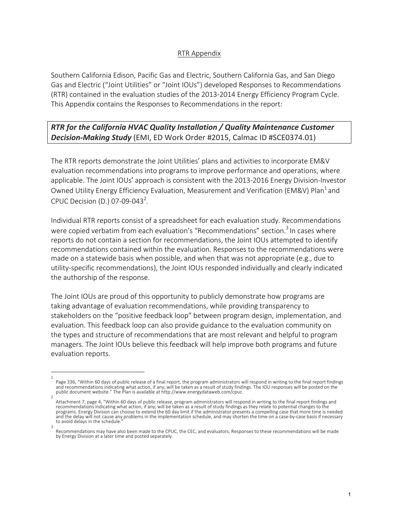## RTR Appendix

Southern California Edison, Pacific Gas and Electric, Southern California Gas, and San Diego Gas and Electric ("Joint Utilities" or "Joint IOUs") developed Responses to Recommendations (RTR) contained in the evaluation studies of the 2013-2014 Energy Efficiency Program Cycle. This Appendix contains the Responses to Recommendations in the report:

## **RTR** for the California HVAC Quality Installation / Quality Maintenance Customer **Decision-Making Study** (EMI, ED Work Order #2015, Calmac ID #SCE0374.01)

The RTR reports demonstrate the Joint Utilities' plans and activities to incorporate EM&V evaluation recommendations into programs to improve performance and operations, where applicable. The Joint IOUs' approach is consistent with the 2013-2016 Energy Division-Investor Owned Utility Energy Efficiency Evaluation, Measurement and Verification (EM&V) Plan<sup>1</sup> and CPUC Decision (D.) 07-09-043<sup>2</sup>.

Individual RTR reports consist of a spreadsheet for each evaluation study. Recommendations were copied verbatim from each evaluation's "Recommendations" section.<sup>3</sup> In cases where reports do not contain a section for recommendations, the Joint IOUs attempted to identify recommendations contained within the evaluation. Responses to the recommendations were made on a statewide basis when possible, and when that was not appropriate (e.g., due to utility-specific recommendations), the Joint IOUs responded individually and clearly indicated the authorship of the response.

The Joint IOUs are proud of this opportunity to publicly demonstrate how programs are taking advantage of evaluation recommendations, while providing transparency to stakeholders on the "positive feedback loop" between program design, implementation, and evaluation. This feedback loop can also provide guidance to the evaluation community on the types and structure of recommendations that are most relevant and helpful to program managers. The Joint IOUs believe this feedback will help improve both programs and future evaluation reports.

<sup>1</sup> Page 336, "Within 60 days of public release of a final report, the program administrators will respond in writing to the final report findings and recommendations indicating what action, if any, will be taken as a result of study findings. The IOU responses will be posted on the public document website." The Plan is available at http://www.energydataweb.com/cpuc.

<sup>2</sup> Attachment 7, page 4, "Within 60 days of public release, program administrators will respond in writing to the final report findings and<br>recommendations indicating what action, if any, will be taken as a result of study fi programs. Energy Division can choose to extend the 60 day limit if the administrator presents a compelling case that more time is needed and the delay will not cause any problems in the implementation schedule, and may shorten the time on a case-by-case basis if necessary to avoid delays in the schedule. 3

Recommendations may have also been made to the CPUC, the CEC, and evaluators. Responses to these recommendations will be made by Energy Division at a later time and posted separately.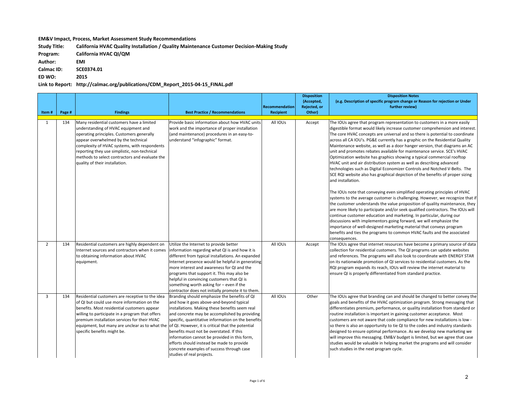## **EM&V** Impact, Process, Market Assessment Study Recommendations

Study Title: California HVAC Quality Installation / Quality Maintenance Customer Decision-Making Study

**Program: California HVAC QI/QM** 

**Author: EMI**

**Calmac ID: SCE0374.01**

**ED WO: 2015**

Link to Report: http://calmac.org/publications/CDM\_Report\_2015-04-15\_FINAL.pdf

| Item#          | Page # | <b>Findings</b>                                                                                                                                                                                                                                                                                                                                                                     | <b>Best Practice / Recommendations</b>                                                                                                                                                                                                                                                                                                                                                                                                                               | <b>Recommendation</b><br><b>Recipient</b> | <b>Disposition</b><br>(Accepted,<br>Rejected, or<br>Other) | <b>Disposition Notes</b><br>(e.g. Description of specific program change or Reason for rejection or Under<br>further review)                                                                                                                                                                                                                                                                                                                                                                                                                                                                                                                                                                                                                                                                                                                                                                                                                                                                                                                                                                                                                                                                                                                                                                                                                                                                                                                                            |
|----------------|--------|-------------------------------------------------------------------------------------------------------------------------------------------------------------------------------------------------------------------------------------------------------------------------------------------------------------------------------------------------------------------------------------|----------------------------------------------------------------------------------------------------------------------------------------------------------------------------------------------------------------------------------------------------------------------------------------------------------------------------------------------------------------------------------------------------------------------------------------------------------------------|-------------------------------------------|------------------------------------------------------------|-------------------------------------------------------------------------------------------------------------------------------------------------------------------------------------------------------------------------------------------------------------------------------------------------------------------------------------------------------------------------------------------------------------------------------------------------------------------------------------------------------------------------------------------------------------------------------------------------------------------------------------------------------------------------------------------------------------------------------------------------------------------------------------------------------------------------------------------------------------------------------------------------------------------------------------------------------------------------------------------------------------------------------------------------------------------------------------------------------------------------------------------------------------------------------------------------------------------------------------------------------------------------------------------------------------------------------------------------------------------------------------------------------------------------------------------------------------------------|
| 1              | 134    | Many residential customers have a limited<br>understanding of HVAC equipment and<br>operating principles. Customers generally<br>appear overwhelmed by the technical<br>complexity of HVAC systems, with respondents<br>reporting they use simplistic, non-technical<br>methods to select contractors and evaluate the<br>quality of their installation.                            | Provide basic information about how HVAC units<br>work and the importance of proper installation<br>(and maintenance) procedures in an easy-to-<br>understand "infographic" format.                                                                                                                                                                                                                                                                                  | All IOUs                                  | Accept                                                     | The IOUs agree that program representation to customers in a more easily<br>digestible format would likely increase customer comprehension and interest.<br>The core HVAC concepts are universal and so there is potential to coordinate<br>across all CA IOU's. PG&E currently has a graphic on the Residential Quality<br>Maintenance website, as well as a door hanger version, that diagrams an AC<br>unit and promotes rebates available for maintenance service. SCE's HVAC<br>Optimization website has graphics showing a typical commercial rooftop<br>HVAC unit and air distribution system as well as describing advanced<br>technologies such as Digital Economizer Controls and Notched V-Belts. The<br>SCE RQI website also has graphical depiction of the benefits of proper sizing<br>and installation.<br>The IOUs note that conveying even simplified operating principles of HVAC<br>systems to the average customer is challenging. However, we recognize that if<br>the customer understands the value proposition of quality maintenance, they<br>are more likely to participate and/or seek qualified contractors. The IOUs will<br>continue customer education and marketing. In particular, during our<br>discussions with implementors going forward, we will emphasize the<br>importance of well-designed marketing material that conveys program<br>benefits and ties the programs to common HVAC faults and the associated<br>consequences. |
| $\overline{2}$ | 134    | Residential customers are highly dependent on<br>Internet sources and contractors when it comes<br>to obtaining information about HVAC<br>equipment.                                                                                                                                                                                                                                | Utilize the Internet to provide better<br>information regarding what QI is and how it is<br>different from typical installations. An expanded<br>Internet presence would be helpful in generating<br>more interest and awareness for QI and the<br>programs that support it. This may also be<br>helpful in convincing customers that QI is<br>something worth asking for - even if the<br>contractor does not initially promote it to them.                         | All IOUs                                  | Accept                                                     | The IOUs agree that internet resources have become a primary source of data<br>collection for residential customers. The QI programs can update websites<br>and references. The programs will also look to coordinate with ENERGY STAR<br>on its nationwide promotion of QI services to residential customers. As the<br>RQI program expands its reach, IOUs will review the internet material to<br>ensure QI is properly differentiated from standard practice.                                                                                                                                                                                                                                                                                                                                                                                                                                                                                                                                                                                                                                                                                                                                                                                                                                                                                                                                                                                                       |
| $\overline{3}$ | 134    | Residential customers are receptive to the idea<br>of QI but could use more information on the<br>benefits. Most residential customers appear<br>willing to participate in a program that offers<br>premium installation services for their HVAC<br>equipment, but many are unclear as to what the of QI. However, it is critical that the potential<br>specific benefits might be. | Branding should emphasize the benefits of QI<br>and how it goes above-and-beyond typical<br>installations. Making these benefits seem real<br>and concrete may be accomplished by providing<br>specific, quantitative information on the benefits<br>benefits must not be overstated. If this<br>information cannot be provided in this form,<br>efforts should instead be made to provide<br>concrete examples of success through case<br>studies of real projects. | All IOUs                                  | Other                                                      | The IOUs agree that branding can and should be changed to better convey the<br>goals and benefits of the HVAC optimization program. Strong messaging that<br>differentiates premium, performance, or quality installation from standard or<br>routine installation is important in gaining customer acceptance. Most<br>customers are not aware that code compliance for new installations is low -<br>so there is also an opportunity to tie QI to the codes and industry standards<br>designed to ensure optimal performance. As we develop new marketing we<br>will improve this messaging. EM&V budget is limited, but we agree that case<br>studies would be valuable in helping market the programs and will consider<br>such studies in the next program cycle.                                                                                                                                                                                                                                                                                                                                                                                                                                                                                                                                                                                                                                                                                                  |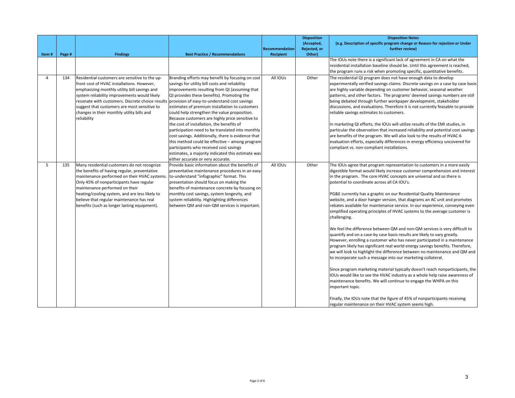|       |        |                                                                                                                                                                                                                                                                                                                                                                          |                                                                                                                                                                                                                                                                                                                                                                                                                                                                                                                                                                                                                                                                                                                                                     | Recommendation   | <b>Disposition</b><br>(Accepted,<br>Rejected, or | <b>Disposition Notes</b><br>(e.g. Description of specific program change or Reason for rejection or Under<br>further review)                                                                                                                                                                                                                                                                                                                                                                                                                                                                                                                                                                                                                                                                                                                                                                                                                                                                                                                                                                                                                                                                                                                                                                                                                                                                                                                                                           |
|-------|--------|--------------------------------------------------------------------------------------------------------------------------------------------------------------------------------------------------------------------------------------------------------------------------------------------------------------------------------------------------------------------------|-----------------------------------------------------------------------------------------------------------------------------------------------------------------------------------------------------------------------------------------------------------------------------------------------------------------------------------------------------------------------------------------------------------------------------------------------------------------------------------------------------------------------------------------------------------------------------------------------------------------------------------------------------------------------------------------------------------------------------------------------------|------------------|--------------------------------------------------|----------------------------------------------------------------------------------------------------------------------------------------------------------------------------------------------------------------------------------------------------------------------------------------------------------------------------------------------------------------------------------------------------------------------------------------------------------------------------------------------------------------------------------------------------------------------------------------------------------------------------------------------------------------------------------------------------------------------------------------------------------------------------------------------------------------------------------------------------------------------------------------------------------------------------------------------------------------------------------------------------------------------------------------------------------------------------------------------------------------------------------------------------------------------------------------------------------------------------------------------------------------------------------------------------------------------------------------------------------------------------------------------------------------------------------------------------------------------------------------|
| Item# | Page # | <b>Findings</b>                                                                                                                                                                                                                                                                                                                                                          | <b>Best Practice / Recommendations</b>                                                                                                                                                                                                                                                                                                                                                                                                                                                                                                                                                                                                                                                                                                              | <b>Recipient</b> | Other)                                           | The IOUs note there is a significant lack of agreement in CA on what the                                                                                                                                                                                                                                                                                                                                                                                                                                                                                                                                                                                                                                                                                                                                                                                                                                                                                                                                                                                                                                                                                                                                                                                                                                                                                                                                                                                                               |
|       |        |                                                                                                                                                                                                                                                                                                                                                                          |                                                                                                                                                                                                                                                                                                                                                                                                                                                                                                                                                                                                                                                                                                                                                     |                  |                                                  | residential installation baseline should be. Until this agreement is reached,<br>the program runs a risk when promoting specific, quantitative benefits.                                                                                                                                                                                                                                                                                                                                                                                                                                                                                                                                                                                                                                                                                                                                                                                                                                                                                                                                                                                                                                                                                                                                                                                                                                                                                                                               |
| 4     | 134    | Residential customers are sensitive to the up-<br>front cost of HVAC installations. However,<br>emphasizing monthly utility bill savings and<br>system reliability improvements would likely<br>resonate with customers. Discrete choice results<br>suggest that customers are most sensitive to<br>changes in their monthly utility bills and<br>reliability            | Branding efforts may benefit by focusing on cost<br>savings for utility bill costs and reliability<br>improvements resulting from QI (assuming that<br>QI provides these benefits). Promoting the<br>provision of easy-to-understand cost savings<br>estimates of premium installation to customers<br>could help strengthen the value proposition.<br>Because customers are highly price sensitive to<br>the cost of installation, the benefits of<br>participation need to be translated into monthly<br>cost savings. Additionally, there is evidence that<br>this method could be effective - among program<br>participants who received cost savings<br>estimates, a majority indicated this estimate was<br>either accurate or very accurate. | All IOUs         | Other                                            | The residential QI program does not have enough data to develop<br>experimentally verified savings claims. Discrete savings on a case by case basis<br>are highly variable depending on customer behavior, seasonal weather<br>patterns, and other factors. The programs' deemed savings numbers are still<br>being debated through further workpaper development, stakeholder<br>discussions, and evaluations. Therefore it is not currently feasable to provide<br>reliable savings estimates to customers.<br>In marketing QI efforts, the IOUs will utilize results of the EMI studies, in<br>particular the observation that increased reliability and potential cost savings<br>are benefits of the program. We will also look to the results of HVAC-6<br>evaluation efforts, especially differences in energy efficiency uncovered for<br>compliant vs. non-compliant installations.                                                                                                                                                                                                                                                                                                                                                                                                                                                                                                                                                                                           |
| 5     | 135    | Many residential customers do not recognize<br>the benefits of having regular, preventative<br>maintenance performed on their HVAC systems.<br>Only 45% of nonparticipants have regular<br>maintenance performed on their<br>heating/cooling system, and are less likely to<br>believe that regular maintenance has real<br>benefits (such as longer lasting equipment). | Provide basic information about the benefits of<br>preventative maintenance procedures in an easy-<br>to-understand "infographic" format. This<br>presentation should focus on making the<br>benefits of maintenance concrete by focusing on<br>monthly cost savings, system longevity, and<br>system reliability. Highlighting differences<br>between QM and non-QM services is important.                                                                                                                                                                                                                                                                                                                                                         | All IOUs         | Other                                            | The IOUs agree that program representation to customers in a more easily<br>digestible format would likely increase customer comprehension and interest<br>in the program. The core HVAC concepts are universal and so there is<br>potential to coordinate across all CA IOU's.<br>PG&E currently has a graphic on our Residential Quality Maintenance<br>website, and a door hanger version, that diagrams an AC unit and promotes<br>rebates available for maintenance service. In our experience, conveying even<br>simplified operating principles of HVAC systems to the average customer is<br>challenging.<br>We feel the difference between QM and non-QM services is very difficult to<br>quantify and on a case-by case basis results are likely to vary greatly.<br>However, enrolling a customer who has never participated in a maintenance<br>program likely has significant real world energy savings benefits. Therefore,<br>we will look to highlight the difference between no maintenance and QM and<br>to incorporate such a message into our marketing collateral.<br>Since program marketing material typically doesn't reach nonparticipants, the<br>IOUs would like to see the HVAC industry as a whole help raise awareness of<br>maintenance benefits. We will continue to engage the WHPA on this<br>important topic.<br>Finally, the IOUs note that the figure of 45% of nonparticipants receiving<br>regular maintenance on their HVAC system seems high. |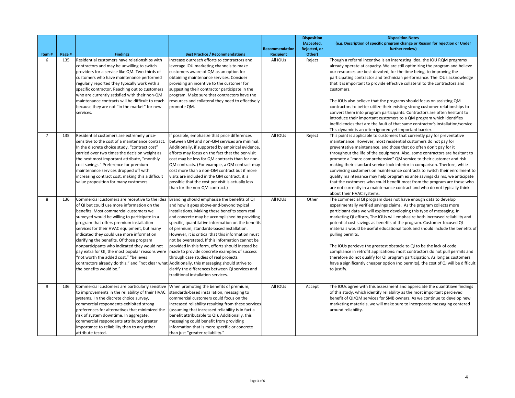| Item#          | Page # | <b>Findings</b>                                                                                                                                                                                                                                                                                                                                                                                                                                                                                                                                                                                                                                         | <b>Best Practice / Recommendations</b>                                                                                                                                                                                                                                                                                                                                                                                                                                                                                                                                                                                                          | Recommendation<br><b>Recipient</b> | <b>Disposition</b><br>(Accepted,<br>Rejected, or<br>Other) | <b>Disposition Notes</b><br>(e.g. Description of specific program change or Reason for rejection or Under<br>further review)                                                                                                                                                                                                                                                                                                                                                                                                                                                                                                                                                                                                                                                                                                                                             |
|----------------|--------|---------------------------------------------------------------------------------------------------------------------------------------------------------------------------------------------------------------------------------------------------------------------------------------------------------------------------------------------------------------------------------------------------------------------------------------------------------------------------------------------------------------------------------------------------------------------------------------------------------------------------------------------------------|-------------------------------------------------------------------------------------------------------------------------------------------------------------------------------------------------------------------------------------------------------------------------------------------------------------------------------------------------------------------------------------------------------------------------------------------------------------------------------------------------------------------------------------------------------------------------------------------------------------------------------------------------|------------------------------------|------------------------------------------------------------|--------------------------------------------------------------------------------------------------------------------------------------------------------------------------------------------------------------------------------------------------------------------------------------------------------------------------------------------------------------------------------------------------------------------------------------------------------------------------------------------------------------------------------------------------------------------------------------------------------------------------------------------------------------------------------------------------------------------------------------------------------------------------------------------------------------------------------------------------------------------------|
| 6              | 135    | Residential customers have relationships with<br>contractors and may be unwilling to switch<br>providers for a service like QM. Two-thirds of<br>customers who have maintenance performed<br>regularly reported they typically work with a<br>specific contractor. Reaching out to customers<br>who are currently satisfied with their non-QM<br>maintenance contracts will be difficult to reach<br>because they are not "in the market" for new<br>services.                                                                                                                                                                                          | Increase outreach efforts to contractors and<br>leverage IOU marketing channels to make<br>customers aware of QM as an option for<br>obtaining maintenance services. Consider<br>providing an incentive to the customer for<br>suggesting their contractor participate in the<br>program. Make sure that contractors have the<br>resources and collateral they need to effectively<br>promote QM.                                                                                                                                                                                                                                               | All IOUs                           | Reject                                                     | Though a referral incentive is an interesting idea, the IOU RQM programs<br>already operate at capacity. We are still optimizing the program and believe<br>our resources are best devoted, for the time being, to improving the<br>participating contractor and technician performance. The IOUs acknowledge<br>that it is important to provide effective collateral to the contractors and<br>customers.<br>The IOUs also believe that the programs should focus on assisting QM<br>contractors to better utilize their existing strong customer relationships to<br>convert them into program participants. Contractors are often hesitant to<br>introduce their important customers to a QM program which identifies<br>inefficiencies that are the fault of that same contractor's installation/service.<br>This dynamic is an often ignored yet important barrier. |
| $\overline{7}$ | 135    | Residential customers are extremely price-<br>sensitive to the cost of a maintenance contract.<br>In the discrete choice study, "contract cost"<br>carried over two times the decision weight as<br>the next most important attribute, "monthly<br>cost savings." Preference for premium<br>maintenance services dropped off with<br>increasing contract cost, making this a difficult<br>value proposition for many customers.                                                                                                                                                                                                                         | If possible, emphasize that price differences<br>between QM and non-QM services are minimal.<br>Additionally, if supported by empirical evidence,<br>efforts may focus on the fact that the per-visit<br>cost may be less for QM contracts than for non-<br>QM contracts. (For example, a QM contract may<br>cost more than a non-QM contract but if more<br>visits are included in the QM contract, it is<br>possible that the cost per visit is actually less<br>than for the non-QM contract.)                                                                                                                                               | All IOUs                           | Reject                                                     | This point is applicable to customers that currently pay for preventative<br>maintenance. However, most residential customers do not pay for<br>preventative maintenance, and those that do often don't pay for it<br>throughout the life of the equipment. Also, some contractors are hesitant to<br>promote a "more comprehensive" QM service to their customer and risk<br>making their standard service look inferior in comparison. Therfore, while<br>convincing customers on maintenance contracts to switch their enrollment to<br>quality maintenance may help program ex ante savings claims, we anticipate<br>that the customers who could benefit most from the program are those who<br>are not currently in a maintenance contract and who do not typically think<br>about their HVAC systems.                                                             |
| 8              | 136    | Commercial customers are receptive to the idea<br>of QI but could use more information on the<br>benefits. Most commercial customers we<br>surveyed would be willing to participate in a<br>program that offers premium installation<br>services for their HVAC equipment, but many<br>indicated they could use more information<br>clarifying the benefits. Of those program<br>nonparticipants who indicated they would not<br>pay extra for QI, the most popular reasons were<br>"not worth the added cost," "believes<br>contractors already do this," and "not clear what Additionally, this messaging should strive to<br>the benefits would be." | Branding should emphasize the benefits of QI<br>and how it goes above-and-beyond typical<br>installations. Making these benefits seem real<br>and concrete may be accomplished by providing<br>specific, quantitative information on the benefits<br>of premium, standards-based installation.<br>However, it is critical that this information must<br>not be overstated. If this information cannot be<br>provided in this form, efforts should instead be<br>made to provide concrete examples of success<br>through case studies of real projects.<br>clarify the differences between QI services and<br>traditional installation services. | All IOUs                           | Other                                                      | The commercial QI program does not have enough data to develop<br>experimentally verified savings claims. As the program collects more<br>participant data we will explore developing this type of messaging. In<br>marketing QI efforts, The IOUs will emphasize both increased reliability and<br>potential cost savings as benefits of the program. Customer-focused QI<br>materials would be useful educational tools and should include the benefits of<br>pulling permits.<br>The IOUs percieve the greatest obstacle to QI to be the lack of code<br>compliance in retrofit applications: most contractors do not pull permits and<br>therefore do not qualify for QI program participation. As long as customers<br>have a significantly cheaper option (no permits), the cost of QI will be difficult<br>to justify.                                            |
| 9              | 136    | Commercial customers are particularly sensitive<br>to improvements in the reliability of their HVAC<br>systems. In the discrete choice survey,<br>commercial respondents exhibited strong<br>preferences for alternatives that minimized the<br>risk of system downtime. In aggregate,<br>commercial respondents attributed greater<br>importance to reliability than to any other<br>attribute tested.                                                                                                                                                                                                                                                 | When promoting the benefits of premium,<br>standards-based installation, messaging to<br>commercial customers could focus on the<br>increased reliability resulting from these services<br>(assuming that increased reliability is in fact a<br>benefit attributable to QI). Additionally, this<br>messaging could benefit from providing<br>information that is more specific or concrete<br>than just "greater reliability."                                                                                                                                                                                                                  | All IOUs                           | Accept                                                     | The IOUs agree with this assessment and appreciate the quantitiave findings<br>of this study, which identify reliability as the most important percieved<br>benefit of QI/QM services for SMB owners. As we continue to develop new<br>marketing materials, we will make sure to incorporate messaging centered<br>around reliability.                                                                                                                                                                                                                                                                                                                                                                                                                                                                                                                                   |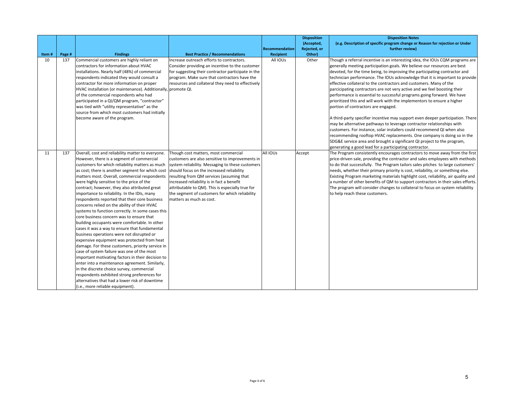| Item# | Page # | <b>Findings</b>                                                                                                                                                                                                                                                                                                                                                                                                                                                                                                                                                                                                                                                                                                                                                                                                                                                                                                                                                                                                                                                                                                                                                                                  | <b>Best Practice / Recommendations</b>                                                                                                                                                                                                                                                                                                                                                                                | <b>Recommendation</b><br><b>Recipient</b> | <b>Disposition</b><br>(Accepted,<br>Rejected, or<br>Other) | <b>Disposition Notes</b><br>(e.g. Description of specific program change or Reason for rejection or Under<br>further review)                                                                                                                                                                                                                                                                                                                                                                                                                                                                                                                                                                                                                                                                                                                                                                                                                                                                                                                                                                                              |
|-------|--------|--------------------------------------------------------------------------------------------------------------------------------------------------------------------------------------------------------------------------------------------------------------------------------------------------------------------------------------------------------------------------------------------------------------------------------------------------------------------------------------------------------------------------------------------------------------------------------------------------------------------------------------------------------------------------------------------------------------------------------------------------------------------------------------------------------------------------------------------------------------------------------------------------------------------------------------------------------------------------------------------------------------------------------------------------------------------------------------------------------------------------------------------------------------------------------------------------|-----------------------------------------------------------------------------------------------------------------------------------------------------------------------------------------------------------------------------------------------------------------------------------------------------------------------------------------------------------------------------------------------------------------------|-------------------------------------------|------------------------------------------------------------|---------------------------------------------------------------------------------------------------------------------------------------------------------------------------------------------------------------------------------------------------------------------------------------------------------------------------------------------------------------------------------------------------------------------------------------------------------------------------------------------------------------------------------------------------------------------------------------------------------------------------------------------------------------------------------------------------------------------------------------------------------------------------------------------------------------------------------------------------------------------------------------------------------------------------------------------------------------------------------------------------------------------------------------------------------------------------------------------------------------------------|
| 10    | 137    | Commercial customers are highly reliant on<br>contractors for information about HVAC<br>installations. Nearly half (48%) of commercial<br>respondents indicated they would consult a<br>contractor for more information on proper<br>HVAC installation (or maintenance). Additionally, promote QI.<br>of the commercial respondents who had<br>participated in a QI/QM program, "contractor"<br>was tied with "utility representative" as the<br>source from which most customers had initially<br>become aware of the program.                                                                                                                                                                                                                                                                                                                                                                                                                                                                                                                                                                                                                                                                  | Increase outreach efforts to contractors.<br>Consider providing an incentive to the customer<br>for suggesting their contractor participate in the<br>program. Make sure that contractors have the<br>resources and collateral they need to effectively                                                                                                                                                               | All IOUs                                  | Other                                                      | Though a referral incentive is an interesting idea, the IOUs CQM programs are<br>generally meeting participation goals. We believe our resources are best<br>devoted, for the time being, to improving the participating contractor and<br>technician performance. The IOUs acknowledge that it is important to provide<br>effective collateral to the contractors and customers. Many of the<br>parcicipating contractors are not very active and we feel boosting their<br>performance is essential to successful programs going forward. We have<br>prioritized this and will work with the implementors to ensure a higher<br>portion of contractors are engaged.<br>A third-party specifier incentive may support even deeper participation. There<br>may be alternative pathways to leverage contractor relationships with<br>customers. For instance, solar installers could recommend QI when also<br>recommending rooftop HVAC replacements. One company is doing so in the<br>SDG&E service area and brought a significant QI project to the program,<br>generating a good lead for a participating contractor. |
| 11    | 137    | Overall, cost and reliability matter to everyone.<br>However, there is a segment of commercial<br>customers for which reliability matters as much<br>as cost; there is another segment for which cost<br>matters most. Overall, commercial respondents<br>were highly sensitive to the price of the<br>contract; however, they also attributed great<br>importance to reliability. In the IDIs, many<br>respondents reported that their core business<br>concerns relied on the ability of their HVAC<br>systems to function correctly. In some cases this<br>core business concern was to ensure that<br>building occupants were comfortable. In other<br>cases it was a way to ensure that fundamental<br>business operations were not disrupted or<br>expensive equipment was protected from heat<br>damage. For these customers, priority service in<br>case of system failure was one of the most<br>important motivating factors in their decision to<br>enter into a maintenance agreement. Similarly,<br>in the discrete choice survey, commercial<br>respondents exhibited strong preferences for<br>alternatives that had a lower risk of downtime<br>(i.e., more reliable equipment). | Though cost matters, most commercial<br>customers are also sensitive to improvements in<br>system reliability. Messaging to these customers<br>should focus on the increased reliability<br>resulting from QM services (assuming that<br>increased reliability is in fact a benefit<br>attributable to QM). This is especially true for<br>the segment of customers for which reliability<br>matters as much as cost. | All IOUs                                  | Accept                                                     | The Program consistently encourages contractors to move away from the first<br>price-driven sale, providing the contractor and sales employees with methods<br>to do that successfully. The Program tailors sales pitches to large customers'<br>needs, whether their primary priority is cost, reliability, or something else.<br>Existing Program marketing materials highlight cost, reliability, air quality and<br>a number of other benefits of QM to support contractors in their sales efforts.<br>The program will consider changes to collateral to focus on system reliability<br>to help reach these customers.                                                                                                                                                                                                                                                                                                                                                                                                                                                                                               |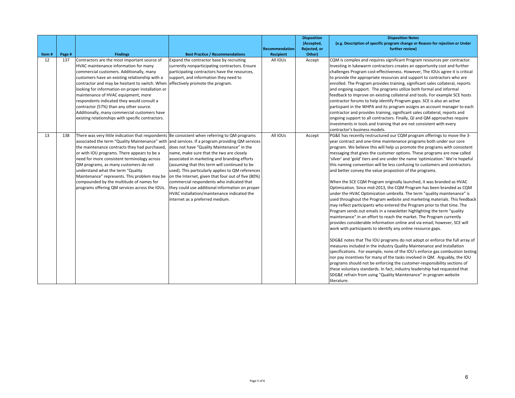| Item# | Page # | <b>Findings</b>                                                                                                                                                                                                                                                                                                                                                                                                                                                                                                                 | <b>Best Practice / Recommendations</b>                                                                                                                                                                                                                                                                                                                                                                                                                                                                                                   | <b>Recommendation</b><br><b>Recipient</b> | <b>Disposition</b><br>(Accepted,<br>Rejected, or<br>Other) | <b>Disposition Notes</b><br>(e.g. Description of specific program change or Reason for rejection or Under<br>further review)                                                                                                                                                                                                                                                                                                                                                                                                                                                                                                                                                                                                                                                                                                                                                                                                                                                                                                                                                                                                                                                                                                                                                                                                                                                                                                                                                                                                                                                                                                                                                                                                                                                                     |
|-------|--------|---------------------------------------------------------------------------------------------------------------------------------------------------------------------------------------------------------------------------------------------------------------------------------------------------------------------------------------------------------------------------------------------------------------------------------------------------------------------------------------------------------------------------------|------------------------------------------------------------------------------------------------------------------------------------------------------------------------------------------------------------------------------------------------------------------------------------------------------------------------------------------------------------------------------------------------------------------------------------------------------------------------------------------------------------------------------------------|-------------------------------------------|------------------------------------------------------------|--------------------------------------------------------------------------------------------------------------------------------------------------------------------------------------------------------------------------------------------------------------------------------------------------------------------------------------------------------------------------------------------------------------------------------------------------------------------------------------------------------------------------------------------------------------------------------------------------------------------------------------------------------------------------------------------------------------------------------------------------------------------------------------------------------------------------------------------------------------------------------------------------------------------------------------------------------------------------------------------------------------------------------------------------------------------------------------------------------------------------------------------------------------------------------------------------------------------------------------------------------------------------------------------------------------------------------------------------------------------------------------------------------------------------------------------------------------------------------------------------------------------------------------------------------------------------------------------------------------------------------------------------------------------------------------------------------------------------------------------------------------------------------------------------|
| 12    | 137    | Contractors are the most important source of<br>HVAC maintenance information for many<br>commercial customers. Additionally, many<br>customers have an existing relationship with a<br>contractor and may be hesitant to switch. When<br>looking for information on proper installation or<br>maintenance of HVAC equipment, more<br>respondents indicated they would consult a<br>contractor (57%) than any other source.<br>Additionally, many commercial customers have<br>existing relationships with specific contractors. | Expand the contractor base by recruiting<br>currently nonparticipating contractors. Ensure<br>participating contractors have the resources,<br>support, and information they need to<br>effectively promote the program.                                                                                                                                                                                                                                                                                                                 | All IOUS                                  | Accept                                                     | CQM is complex and requires significant Program resources per contractor.<br>Investing in lukewarm contractors creates an opportunity cost and further<br>challenges Program cost-effectiveness. However, The IOUs agree it is critical<br>to provide the appropriate resources and support to contractors who are<br>enrolled. The Program provides training, significant sales collateral, reports<br>and ongoing support. The programs utilize both formal and informal<br>feedback to improve on existing collateral and tools. For example SCE hosts<br>contractor forums to help identify Program gaps. SCE is also an active<br>particpant in the WHPA and its program assigns an account manager to each<br>contractor and provides training, significant sales collateral, reports and<br>ongoing support to all contractors. Finally, QI and QM approaches require<br>investments in tools and training that are not consistent with every<br>contractor's business models.                                                                                                                                                                                                                                                                                                                                                                                                                                                                                                                                                                                                                                                                                                                                                                                                            |
| 13    | 138    | There was very little indication that respondents Be consistent when referring to QM programs<br>associated the term "Quality Maintenance" with<br>the maintenance contracts they had purchased,<br>or with IOU programs. There appears to be a<br>need for more consistent terminology across<br>QM programs, as many customers do not<br>understand what the term "Quality<br>Maintenance" represents. This problem may be<br>compounded by the multitude of names for<br>programs offering QM services across the IOUs.      | and services. If a program providing QM services<br>does not have "Quality Maintenance" in the<br>name, make sure that the two are closely<br>associated in marketing and branding efforts<br>(assuming that this term will continued to be<br>used). This particularly applies to QM references<br>on the Internet, given that four out of five (80%)<br>commercial respondents who indicated that<br>they could use additional information on proper<br>HVAC installation/maintenance indicated the<br>Internet as a preferred medium. | All IOUs                                  | Accept                                                     | PG&E has recently restructured our CQM program offerings to move the 3-<br>year contract and one-time maintenance programs both under our core<br>program. We believe this will help us promote the programs with consistent<br>messaging that gives the customer options. These programs are now called<br>'silver' and 'gold' tiers and are under the name 'optimization.' We're hopeful<br>this naming convention will be less confusing to customers and contractors<br>and better convey the value propostion of the programs.<br>When the SCE CQM Program originally launched, it was branded as HVAC<br>Optimization. Since mid-2013, the CQM Program has been branded as CQM<br>under the HVAC Optimization umbrella. The term "quality maintenance" is<br>used throughout the Program website and marketing materials. This feedback<br>may reflect participants who entered the Program prior to that time. The<br>Program sends out emails in a newsletter highlighting the term "quality"<br>maintenance" in an effort to reach the market. The Program currently<br>provides considerable information online and via email; however, SCE will<br>work with participants to identify any online resource gaps.<br>SDG&E notes that The IOU programs do not adopt or enforce the full array of<br>measures included in the industry Quality Maintenance and Installation<br>specifications. For example, none of the IOU's enforce gas combustion testing<br>nor pay incentives for many of the tasks involved in QM. Arguably, the IOU<br>programs should not be enforcing the customer-responsibility sections of<br>these voluntary standards. In fact, industry leadership had requested that<br>SDG&E refrain from using "Quality Maintenance" in program website<br>literature. |